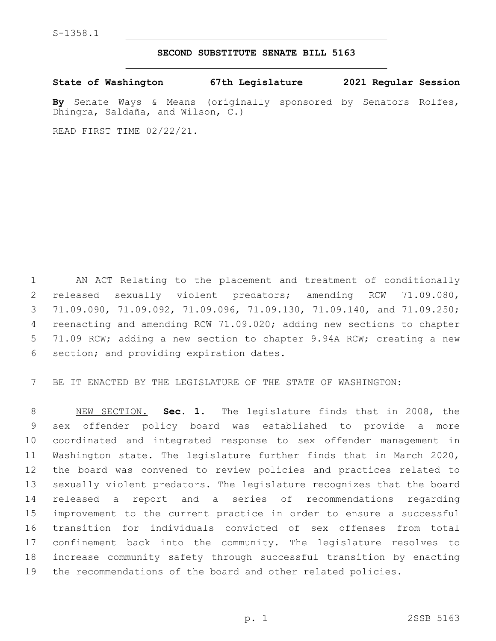S-1358.1

## **SECOND SUBSTITUTE SENATE BILL 5163**

**State of Washington 67th Legislature 2021 Regular Session**

**By** Senate Ways & Means (originally sponsored by Senators Rolfes, Dhingra, Saldaña, and Wilson, C.)

READ FIRST TIME 02/22/21.

 AN ACT Relating to the placement and treatment of conditionally released sexually violent predators; amending RCW 71.09.080, 71.09.090, 71.09.092, 71.09.096, 71.09.130, 71.09.140, and 71.09.250; reenacting and amending RCW 71.09.020; adding new sections to chapter 71.09 RCW; adding a new section to chapter 9.94A RCW; creating a new 6 section; and providing expiration dates.

BE IT ENACTED BY THE LEGISLATURE OF THE STATE OF WASHINGTON:

 NEW SECTION. **Sec. 1.** The legislature finds that in 2008, the sex offender policy board was established to provide a more coordinated and integrated response to sex offender management in Washington state. The legislature further finds that in March 2020, the board was convened to review policies and practices related to sexually violent predators. The legislature recognizes that the board released a report and a series of recommendations regarding improvement to the current practice in order to ensure a successful transition for individuals convicted of sex offenses from total confinement back into the community. The legislature resolves to increase community safety through successful transition by enacting the recommendations of the board and other related policies.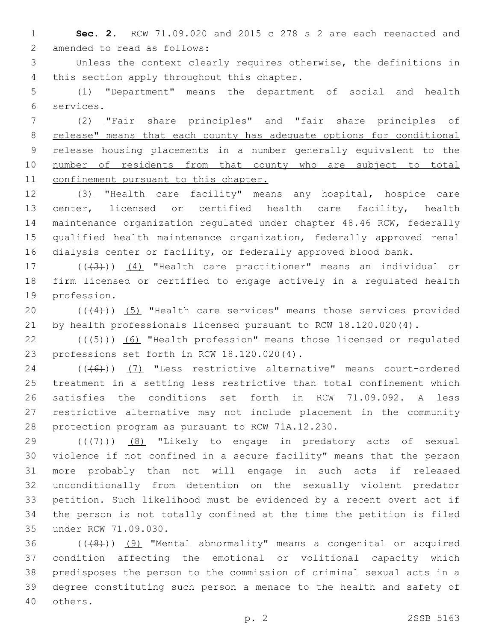**Sec. 2.** RCW 71.09.020 and 2015 c 278 s 2 are each reenacted and 2 amended to read as follows:

 Unless the context clearly requires otherwise, the definitions in 4 this section apply throughout this chapter.

 (1) "Department" means the department of social and health services.6

 (2) "Fair share principles" and "fair share principles of release" means that each county has adequate options for conditional release housing placements in a number generally equivalent to the 10 number of residents from that county who are subject to total confinement pursuant to this chapter.

 (3) "Health care facility" means any hospital, hospice care center, licensed or certified health care facility, health maintenance organization regulated under chapter 48.46 RCW, federally qualified health maintenance organization, federally approved renal dialysis center or facility, or federally approved blood bank.

17 (((43))) (4) "Health care practitioner" means an individual or firm licensed or certified to engage actively in a regulated health 19 profession.

20 (((4))) (5) "Health care services" means those services provided by health professionals licensed pursuant to RCW 18.120.020(4).

 $((\overline{5})$  (6) "Health profession" means those licensed or regulated 23 professions set forth in RCW 18.120.020(4).

24 (((6)) (7) "Less restrictive alternative" means court-ordered treatment in a setting less restrictive than total confinement which satisfies the conditions set forth in RCW 71.09.092. A less restrictive alternative may not include placement in the community 28 protection program as pursuant to RCW 71A.12.230.

 $((+7+))$  (8) "Likely to engage in predatory acts of sexual violence if not confined in a secure facility" means that the person more probably than not will engage in such acts if released unconditionally from detention on the sexually violent predator petition. Such likelihood must be evidenced by a recent overt act if the person is not totally confined at the time the petition is filed 35 under RCW 71.09.030.

 ( $(48)$ )) (9) "Mental abnormality" means a congenital or acquired condition affecting the emotional or volitional capacity which predisposes the person to the commission of criminal sexual acts in a degree constituting such person a menace to the health and safety of 40 others.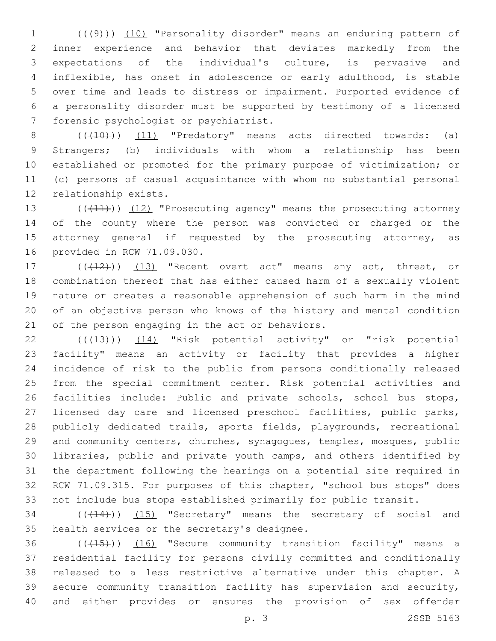1 (((49))) (10) "Personality disorder" means an enduring pattern of inner experience and behavior that deviates markedly from the expectations of the individual's culture, is pervasive and inflexible, has onset in adolescence or early adulthood, is stable over time and leads to distress or impairment. Purported evidence of a personality disorder must be supported by testimony of a licensed 7 forensic psychologist or psychiatrist.

 $((+10))$   $(11)$  "Predatory" means acts directed towards: (a) Strangers; (b) individuals with whom a relationship has been established or promoted for the primary purpose of victimization; or (c) persons of casual acquaintance with whom no substantial personal 12 relationship exists.

13 ((+11)) (12) "Prosecuting agency" means the prosecuting attorney of the county where the person was convicted or charged or the 15 attorney general if requested by the prosecuting attorney, as 16 provided in RCW 71.09.030.

17 (((412))) (13) "Recent overt act" means any act, threat, or combination thereof that has either caused harm of a sexually violent nature or creates a reasonable apprehension of such harm in the mind of an objective person who knows of the history and mental condition 21 of the person engaging in the act or behaviors.

22 (( $(43)$ )) (14) "Risk potential activity" or "risk potential facility" means an activity or facility that provides a higher incidence of risk to the public from persons conditionally released from the special commitment center. Risk potential activities and 26 facilities include: Public and private schools, school bus stops, licensed day care and licensed preschool facilities, public parks, publicly dedicated trails, sports fields, playgrounds, recreational and community centers, churches, synagogues, temples, mosques, public libraries, public and private youth camps, and others identified by the department following the hearings on a potential site required in RCW 71.09.315. For purposes of this chapter, "school bus stops" does not include bus stops established primarily for public transit.

34 (( $(14)$ )) (15) "Secretary" means the secretary of social and 35 health services or the secretary's designee.

36 (((15))) (16) "Secure community transition facility" means a residential facility for persons civilly committed and conditionally released to a less restrictive alternative under this chapter. A secure community transition facility has supervision and security, and either provides or ensures the provision of sex offender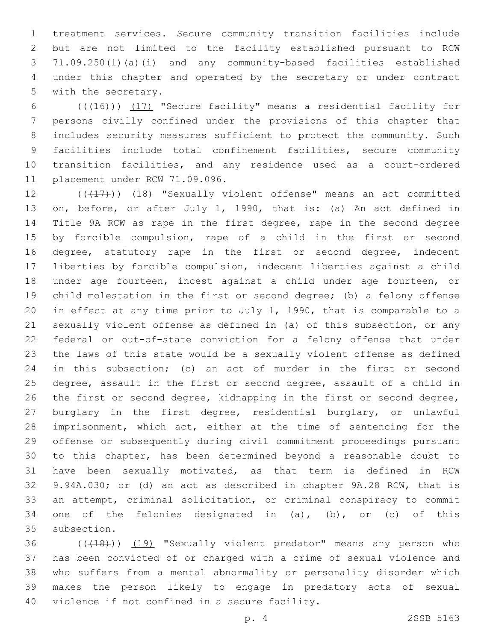treatment services. Secure community transition facilities include but are not limited to the facility established pursuant to RCW 71.09.250(1)(a)(i) and any community-based facilities established under this chapter and operated by the secretary or under contract 5 with the secretary.

6 (((416)) (17) "Secure facility" means a residential facility for persons civilly confined under the provisions of this chapter that includes security measures sufficient to protect the community. Such facilities include total confinement facilities, secure community transition facilities, and any residence used as a court-ordered 11 placement under RCW 71.09.096.

12 (((17))) (18) "Sexually violent offense" means an act committed on, before, or after July 1, 1990, that is: (a) An act defined in Title 9A RCW as rape in the first degree, rape in the second degree by forcible compulsion, rape of a child in the first or second 16 degree, statutory rape in the first or second degree, indecent liberties by forcible compulsion, indecent liberties against a child under age fourteen, incest against a child under age fourteen, or child molestation in the first or second degree; (b) a felony offense in effect at any time prior to July 1, 1990, that is comparable to a sexually violent offense as defined in (a) of this subsection, or any federal or out-of-state conviction for a felony offense that under the laws of this state would be a sexually violent offense as defined in this subsection; (c) an act of murder in the first or second degree, assault in the first or second degree, assault of a child in the first or second degree, kidnapping in the first or second degree, burglary in the first degree, residential burglary, or unlawful imprisonment, which act, either at the time of sentencing for the offense or subsequently during civil commitment proceedings pursuant to this chapter, has been determined beyond a reasonable doubt to have been sexually motivated, as that term is defined in RCW 9.94A.030; or (d) an act as described in chapter 9A.28 RCW, that is an attempt, criminal solicitation, or criminal conspiracy to commit 34 one of the felonies designated in  $(a)$ ,  $(b)$ , or  $(c)$  of this 35 subsection.

36 (((18))) (19) "Sexually violent predator" means any person who has been convicted of or charged with a crime of sexual violence and who suffers from a mental abnormality or personality disorder which makes the person likely to engage in predatory acts of sexual 40 violence if not confined in a secure facility.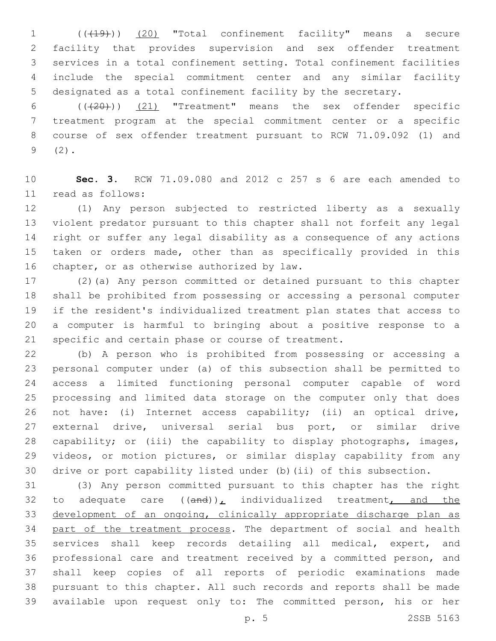(((19))) (20) "Total confinement facility" means a secure facility that provides supervision and sex offender treatment services in a total confinement setting. Total confinement facilities include the special commitment center and any similar facility designated as a total confinement facility by the secretary.

 $((+20))$   $(21)$  "Treatment" means the sex offender specific treatment program at the special commitment center or a specific course of sex offender treatment pursuant to RCW 71.09.092 (1) and  $9(2)$ .

 **Sec. 3.** RCW 71.09.080 and 2012 c 257 s 6 are each amended to 11 read as follows:

 (1) Any person subjected to restricted liberty as a sexually violent predator pursuant to this chapter shall not forfeit any legal right or suffer any legal disability as a consequence of any actions taken or orders made, other than as specifically provided in this 16 chapter, or as otherwise authorized by law.

 (2)(a) Any person committed or detained pursuant to this chapter shall be prohibited from possessing or accessing a personal computer if the resident's individualized treatment plan states that access to a computer is harmful to bringing about a positive response to a specific and certain phase or course of treatment.

 (b) A person who is prohibited from possessing or accessing a personal computer under (a) of this subsection shall be permitted to access a limited functioning personal computer capable of word processing and limited data storage on the computer only that does not have: (i) Internet access capability; (ii) an optical drive, external drive, universal serial bus port, or similar drive capability; or (iii) the capability to display photographs, images, videos, or motion pictures, or similar display capability from any drive or port capability listed under (b)(ii) of this subsection.

 (3) Any person committed pursuant to this chapter has the right 32 to adequate care  $((and))_L$  individualized treatment, and the development of an ongoing, clinically appropriate discharge plan as 34 part of the treatment process. The department of social and health services shall keep records detailing all medical, expert, and professional care and treatment received by a committed person, and shall keep copies of all reports of periodic examinations made pursuant to this chapter. All such records and reports shall be made available upon request only to: The committed person, his or her

p. 5 2SSB 5163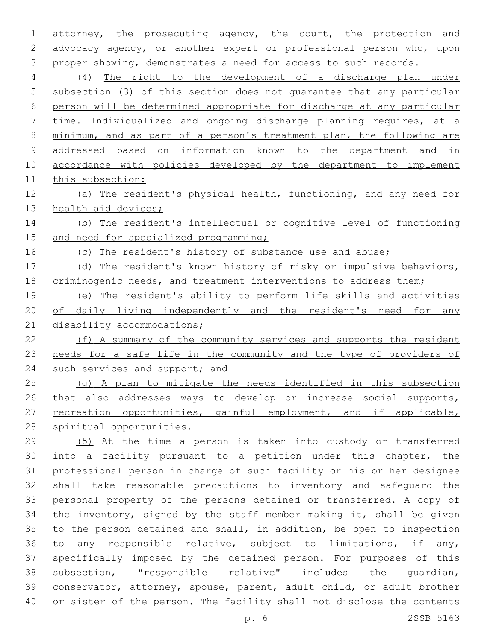attorney, the prosecuting agency, the court, the protection and advocacy agency, or another expert or professional person who, upon proper showing, demonstrates a need for access to such records.

 (4) The right to the development of a discharge plan under subsection (3) of this section does not guarantee that any particular person will be determined appropriate for discharge at any particular time. Individualized and ongoing discharge planning requires, at a minimum, and as part of a person's treatment plan, the following are addressed based on information known to the department and in 10 accordance with policies developed by the department to implement this subsection:

 (a) The resident's physical health, functioning, and any need for 13 health aid devices;

 (b) The resident's intellectual or cognitive level of functioning 15 and need for specialized programming;

16 (c) The resident's history of substance use and abuse;

 (d) The resident's known history of risky or impulsive behaviors, 18 criminogenic needs, and treatment interventions to address them;

 (e) The resident's ability to perform life skills and activities 20 of daily living independently and the resident's need for any 21 disability accommodations;

 (f) A summary of the community services and supports the resident needs for a safe life in the community and the type of providers of 24 such services and support; and

 (g) A plan to mitigate the needs identified in this subsection 26 that also addresses ways to develop or increase social supports, 27 recreation opportunities, gainful employment, and if applicable, spiritual opportunities.

 (5) At the time a person is taken into custody or transferred into a facility pursuant to a petition under this chapter, the professional person in charge of such facility or his or her designee shall take reasonable precautions to inventory and safeguard the personal property of the persons detained or transferred. A copy of the inventory, signed by the staff member making it, shall be given to the person detained and shall, in addition, be open to inspection to any responsible relative, subject to limitations, if any, specifically imposed by the detained person. For purposes of this subsection, "responsible relative" includes the guardian, conservator, attorney, spouse, parent, adult child, or adult brother or sister of the person. The facility shall not disclose the contents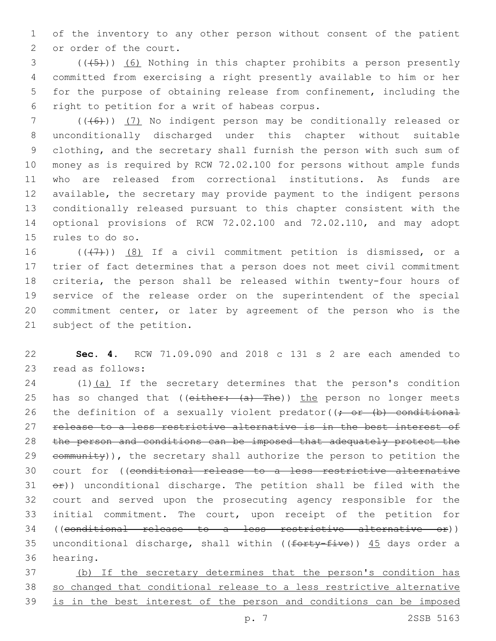1 of the inventory to any other person without consent of the patient 2 or order of the court.

3 (((45))) (6) Nothing in this chapter prohibits a person presently 4 committed from exercising a right presently available to him or her 5 for the purpose of obtaining release from confinement, including the 6 right to petition for a writ of habeas corpus.

 (((6))) (7) No indigent person may be conditionally released or unconditionally discharged under this chapter without suitable clothing, and the secretary shall furnish the person with such sum of money as is required by RCW 72.02.100 for persons without ample funds who are released from correctional institutions. As funds are available, the secretary may provide payment to the indigent persons conditionally released pursuant to this chapter consistent with the optional provisions of RCW 72.02.100 and 72.02.110, and may adopt 15 rules to do so.

 $((+7+))$   $(8)$  If a civil commitment petition is dismissed, or a trier of fact determines that a person does not meet civil commitment criteria, the person shall be released within twenty-four hours of service of the release order on the superintendent of the special commitment center, or later by agreement of the person who is the 21 subject of the petition.

22 **Sec. 4.** RCW 71.09.090 and 2018 c 131 s 2 are each amended to 23 read as follows:

24 (1)(a) If the secretary determines that the person's condition 25 has so changed that (( $e$ ither:  $(a)$  The)) the person no longer meets 26 the definition of a sexually violent predator( $\rightarrow$  or  $(b)$  conditional 27 release to a less restrictive alternative is in the best interest of 28 the person and conditions can be imposed that adequately protect the 29 community)), the secretary shall authorize the person to petition the 30 court for ((conditional release to a less restrictive alternative  $31$   $e^{2}$ )) unconditional discharge. The petition shall be filed with the 32 court and served upon the prosecuting agency responsible for the 33 initial commitment. The court, upon receipt of the petition for 34 ((conditional release to a less restrictive alternative or)) 35 unconditional discharge, shall within (( $f$ orty-five))  $45$  days order a 36 hearing.

37 (b) If the secretary determines that the person's condition has 38 so changed that conditional release to a less restrictive alternative 39 is in the best interest of the person and conditions can be imposed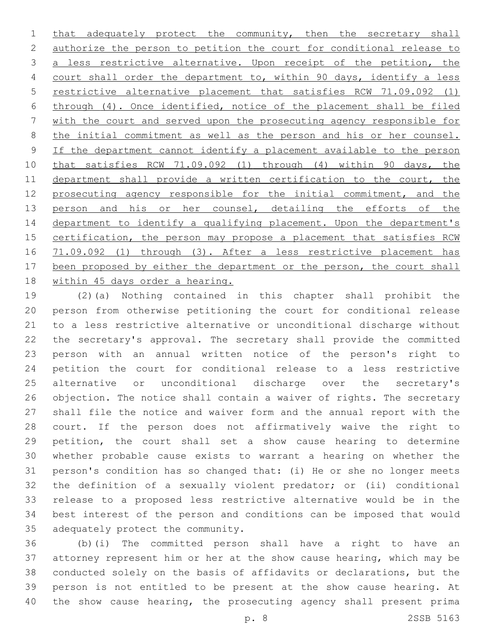1 that adequately protect the community, then the secretary shall authorize the person to petition the court for conditional release to a less restrictive alternative. Upon receipt of the petition, the 4 court shall order the department to, within 90 days, identify a less restrictive alternative placement that satisfies RCW 71.09.092 (1) through (4). Once identified, notice of the placement shall be filed with the court and served upon the prosecuting agency responsible for the initial commitment as well as the person and his or her counsel. If the department cannot identify a placement available to the person that satisfies RCW 71.09.092 (1) through (4) within 90 days, the 11 department shall provide a written certification to the court, the 12 prosecuting agency responsible for the initial commitment, and the 13 person and his or her counsel, detailing the efforts of the 14 department to identify a qualifying placement. Upon the department's 15 certification, the person may propose a placement that satisfies RCW 71.09.092 (1) through (3). After a less restrictive placement has 17 been proposed by either the department or the person, the court shall 18 within 45 days order a hearing.

 (2)(a) Nothing contained in this chapter shall prohibit the person from otherwise petitioning the court for conditional release to a less restrictive alternative or unconditional discharge without the secretary's approval. The secretary shall provide the committed person with an annual written notice of the person's right to petition the court for conditional release to a less restrictive alternative or unconditional discharge over the secretary's objection. The notice shall contain a waiver of rights. The secretary shall file the notice and waiver form and the annual report with the court. If the person does not affirmatively waive the right to petition, the court shall set a show cause hearing to determine whether probable cause exists to warrant a hearing on whether the person's condition has so changed that: (i) He or she no longer meets the definition of a sexually violent predator; or (ii) conditional release to a proposed less restrictive alternative would be in the best interest of the person and conditions can be imposed that would 35 adequately protect the community.

 (b)(i) The committed person shall have a right to have an attorney represent him or her at the show cause hearing, which may be conducted solely on the basis of affidavits or declarations, but the person is not entitled to be present at the show cause hearing. At the show cause hearing, the prosecuting agency shall present prima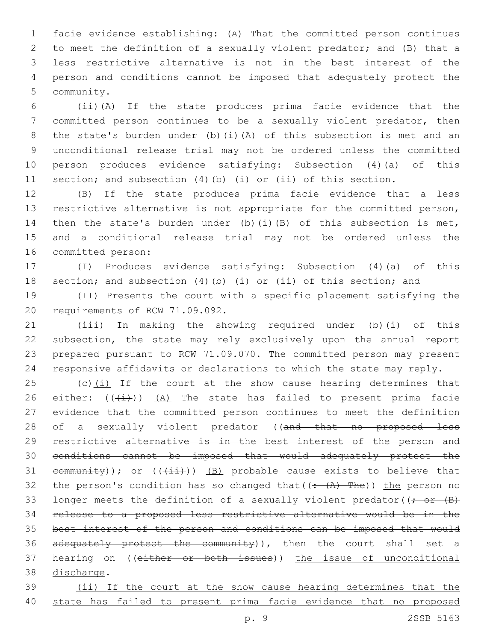facie evidence establishing: (A) That the committed person continues to meet the definition of a sexually violent predator; and (B) that a less restrictive alternative is not in the best interest of the person and conditions cannot be imposed that adequately protect the 5 community.

 (ii)(A) If the state produces prima facie evidence that the committed person continues to be a sexually violent predator, then the state's burden under (b)(i)(A) of this subsection is met and an unconditional release trial may not be ordered unless the committed person produces evidence satisfying: Subsection (4)(a) of this section; and subsection (4)(b) (i) or (ii) of this section.

 (B) If the state produces prima facie evidence that a less restrictive alternative is not appropriate for the committed person, then the state's burden under (b)(i)(B) of this subsection is met, and a conditional release trial may not be ordered unless the 16 committed person:

 (I) Produces evidence satisfying: Subsection (4)(a) of this section; and subsection (4)(b) (i) or (ii) of this section; and

 (II) Presents the court with a specific placement satisfying the 20 requirements of RCW 71.09.092.

 (iii) In making the showing required under (b)(i) of this subsection, the state may rely exclusively upon the annual report prepared pursuant to RCW 71.09.070. The committed person may present responsive affidavits or declarations to which the state may reply.

25 (c) $(i)$  If the court at the show cause hearing determines that 26 either:  $((+i))$   $(A)$  The state has failed to present prima facie evidence that the committed person continues to meet the definition 28 of a sexually violent predator ((and that no proposed less restrictive alternative is in the best interest of the person and conditions cannot be imposed that would adequately protect the 31 community)); or  $((+i+1))$  (B) probable cause exists to believe that 32 the person's condition has so changed that  $((\div(A)-The))$  the person no 33 longer meets the definition of a sexually violent predator( $\rightarrow$   $\rightarrow$   $\rightarrow$  release to a proposed less restrictive alternative would be in the 35 best interest of the person and conditions can be imposed that would 36 adequately protect the community)), then the court shall set a 37 hearing on ((either or both issues)) the issue of unconditional 38 discharge.

 (ii) If the court at the show cause hearing determines that the 40 state has failed to present prima facie evidence that no proposed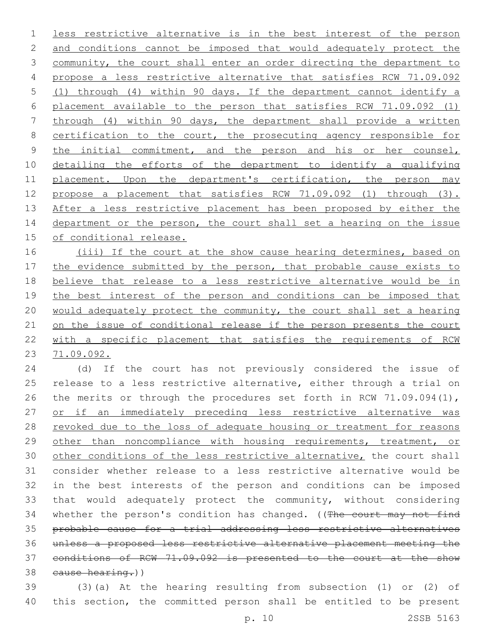less restrictive alternative is in the best interest of the person 2 and conditions cannot be imposed that would adequately protect the 3 community, the court shall enter an order directing the department to propose a less restrictive alternative that satisfies RCW 71.09.092 (1) through (4) within 90 days. If the department cannot identify a placement available to the person that satisfies RCW 71.09.092 (1) through (4) within 90 days, the department shall provide a written 8 certification to the court, the prosecuting agency responsible for the initial commitment, and the person and his or her counsel, detailing the efforts of the department to identify a qualifying placement. Upon the department's certification, the person may propose a placement that satisfies RCW 71.09.092 (1) through (3). After a less restrictive placement has been proposed by either the 14 department or the person, the court shall set a hearing on the issue 15 of conditional release.

16 (iii) If the court at the show cause hearing determines, based on 17 the evidence submitted by the person, that probable cause exists to believe that release to a less restrictive alternative would be in 19 the best interest of the person and conditions can be imposed that would adequately protect the community, the court shall set a hearing 21 on the issue of conditional release if the person presents the court with a specific placement that satisfies the requirements of RCW 71.09.092.

 (d) If the court has not previously considered the issue of release to a less restrictive alternative, either through a trial on 26 the merits or through the procedures set forth in RCW 71.09.094(1), or if an immediately preceding less restrictive alternative was 28 revoked due to the loss of adequate housing or treatment for reasons 29 other than noncompliance with housing requirements, treatment, or 30 other conditions of the less restrictive alternative, the court shall consider whether release to a less restrictive alternative would be in the best interests of the person and conditions can be imposed that would adequately protect the community, without considering 34 whether the person's condition has changed. ((The court may not find probable cause for a trial addressing less restrictive alternatives unless a proposed less restrictive alternative placement meeting the conditions of RCW 71.09.092 is presented to the court at the show 38 cause hearing.))

 (3)(a) At the hearing resulting from subsection (1) or (2) of this section, the committed person shall be entitled to be present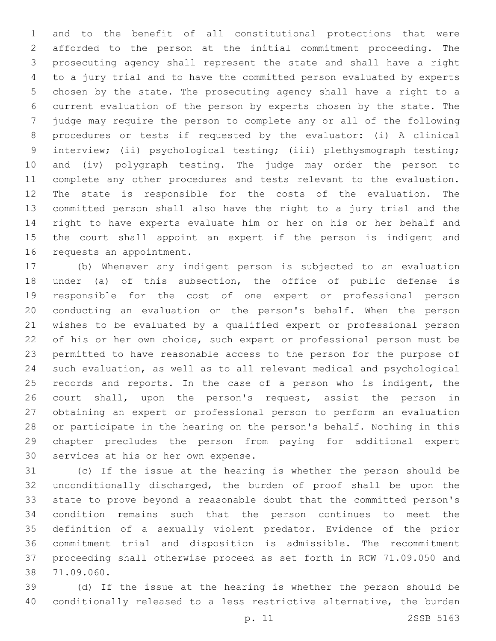and to the benefit of all constitutional protections that were afforded to the person at the initial commitment proceeding. The prosecuting agency shall represent the state and shall have a right to a jury trial and to have the committed person evaluated by experts chosen by the state. The prosecuting agency shall have a right to a current evaluation of the person by experts chosen by the state. The judge may require the person to complete any or all of the following procedures or tests if requested by the evaluator: (i) A clinical interview; (ii) psychological testing; (iii) plethysmograph testing; and (iv) polygraph testing. The judge may order the person to complete any other procedures and tests relevant to the evaluation. The state is responsible for the costs of the evaluation. The committed person shall also have the right to a jury trial and the right to have experts evaluate him or her on his or her behalf and the court shall appoint an expert if the person is indigent and 16 requests an appointment.

 (b) Whenever any indigent person is subjected to an evaluation under (a) of this subsection, the office of public defense is responsible for the cost of one expert or professional person conducting an evaluation on the person's behalf. When the person wishes to be evaluated by a qualified expert or professional person of his or her own choice, such expert or professional person must be permitted to have reasonable access to the person for the purpose of such evaluation, as well as to all relevant medical and psychological 25 records and reports. In the case of a person who is indigent, the court shall, upon the person's request, assist the person in obtaining an expert or professional person to perform an evaluation or participate in the hearing on the person's behalf. Nothing in this chapter precludes the person from paying for additional expert 30 services at his or her own expense.

 (c) If the issue at the hearing is whether the person should be unconditionally discharged, the burden of proof shall be upon the state to prove beyond a reasonable doubt that the committed person's condition remains such that the person continues to meet the definition of a sexually violent predator. Evidence of the prior commitment trial and disposition is admissible. The recommitment proceeding shall otherwise proceed as set forth in RCW 71.09.050 and 71.09.060.38

 (d) If the issue at the hearing is whether the person should be conditionally released to a less restrictive alternative, the burden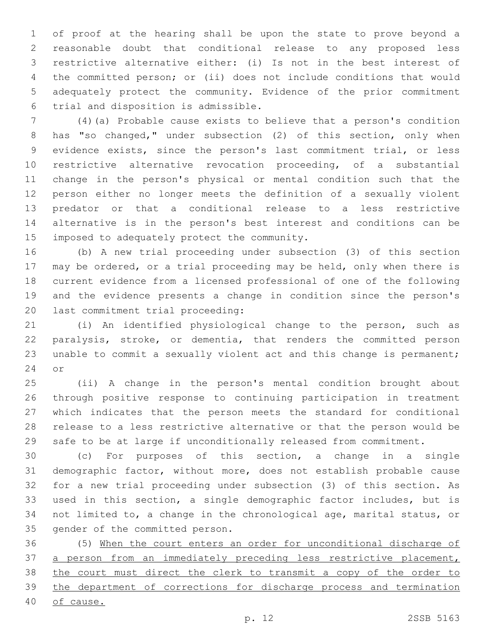of proof at the hearing shall be upon the state to prove beyond a reasonable doubt that conditional release to any proposed less restrictive alternative either: (i) Is not in the best interest of the committed person; or (ii) does not include conditions that would adequately protect the community. Evidence of the prior commitment trial and disposition is admissible.6

 (4)(a) Probable cause exists to believe that a person's condition has "so changed," under subsection (2) of this section, only when evidence exists, since the person's last commitment trial, or less restrictive alternative revocation proceeding, of a substantial change in the person's physical or mental condition such that the person either no longer meets the definition of a sexually violent predator or that a conditional release to a less restrictive alternative is in the person's best interest and conditions can be 15 imposed to adequately protect the community.

 (b) A new trial proceeding under subsection (3) of this section may be ordered, or a trial proceeding may be held, only when there is current evidence from a licensed professional of one of the following and the evidence presents a change in condition since the person's 20 last commitment trial proceeding:

 (i) An identified physiological change to the person, such as paralysis, stroke, or dementia, that renders the committed person unable to commit a sexually violent act and this change is permanent; 24 or

 (ii) A change in the person's mental condition brought about through positive response to continuing participation in treatment which indicates that the person meets the standard for conditional release to a less restrictive alternative or that the person would be safe to be at large if unconditionally released from commitment.

 (c) For purposes of this section, a change in a single demographic factor, without more, does not establish probable cause for a new trial proceeding under subsection (3) of this section. As used in this section, a single demographic factor includes, but is not limited to, a change in the chronological age, marital status, or 35 gender of the committed person.

 (5) When the court enters an order for unconditional discharge of 37 a person from an immediately preceding less restrictive placement, the court must direct the clerk to transmit a copy of the order to the department of corrections for discharge process and termination of cause.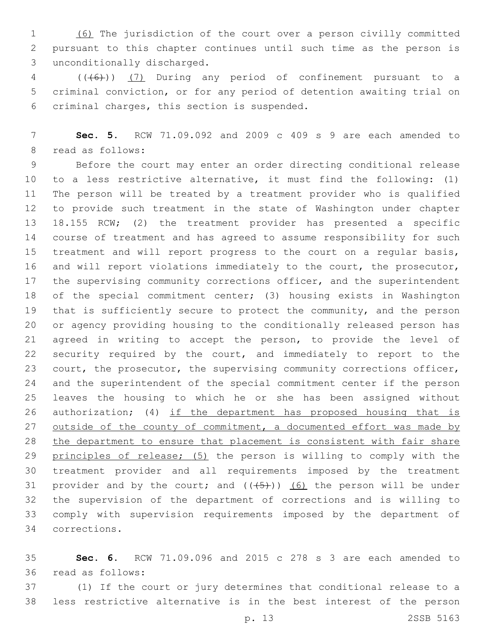(6) The jurisdiction of the court over a person civilly committed pursuant to this chapter continues until such time as the person is unconditionally discharged.3

 (((6))) (7) During any period of confinement pursuant to a criminal conviction, or for any period of detention awaiting trial on 6 criminal charges, this section is suspended.

 **Sec. 5.** RCW 71.09.092 and 2009 c 409 s 9 are each amended to 8 read as follows:

 Before the court may enter an order directing conditional release to a less restrictive alternative, it must find the following: (1) The person will be treated by a treatment provider who is qualified to provide such treatment in the state of Washington under chapter 18.155 RCW; (2) the treatment provider has presented a specific course of treatment and has agreed to assume responsibility for such treatment and will report progress to the court on a regular basis, and will report violations immediately to the court, the prosecutor, 17 the supervising community corrections officer, and the superintendent of the special commitment center; (3) housing exists in Washington that is sufficiently secure to protect the community, and the person or agency providing housing to the conditionally released person has agreed in writing to accept the person, to provide the level of security required by the court, and immediately to report to the 23 court, the prosecutor, the supervising community corrections officer, and the superintendent of the special commitment center if the person leaves the housing to which he or she has been assigned without 26 authorization; (4) if the department has proposed housing that is 27 outside of the county of commitment, a documented effort was made by the department to ensure that placement is consistent with fair share 29 principles of release; (5) the person is willing to comply with the treatment provider and all requirements imposed by the treatment 31 provider and by the court; and  $((+5))$  (6) the person will be under the supervision of the department of corrections and is willing to comply with supervision requirements imposed by the department of corrections.34

 **Sec. 6.** RCW 71.09.096 and 2015 c 278 s 3 are each amended to 36 read as follows:

 (1) If the court or jury determines that conditional release to a less restrictive alternative is in the best interest of the person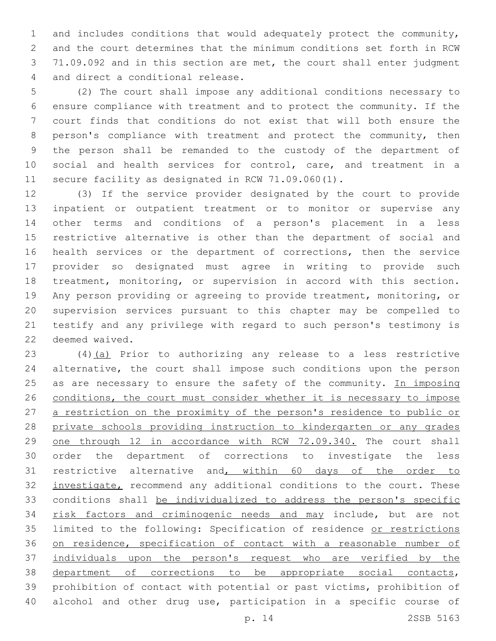and includes conditions that would adequately protect the community, and the court determines that the minimum conditions set forth in RCW 71.09.092 and in this section are met, the court shall enter judgment 4 and direct a conditional release.

 (2) The court shall impose any additional conditions necessary to ensure compliance with treatment and to protect the community. If the court finds that conditions do not exist that will both ensure the person's compliance with treatment and protect the community, then the person shall be remanded to the custody of the department of social and health services for control, care, and treatment in a secure facility as designated in RCW 71.09.060(1).

 (3) If the service provider designated by the court to provide inpatient or outpatient treatment or to monitor or supervise any other terms and conditions of a person's placement in a less restrictive alternative is other than the department of social and health services or the department of corrections, then the service provider so designated must agree in writing to provide such treatment, monitoring, or supervision in accord with this section. Any person providing or agreeing to provide treatment, monitoring, or supervision services pursuant to this chapter may be compelled to testify and any privilege with regard to such person's testimony is 22 deemed waived.

 (4)(a) Prior to authorizing any release to a less restrictive alternative, the court shall impose such conditions upon the person 25 as are necessary to ensure the safety of the community. In imposing 26 conditions, the court must consider whether it is necessary to impose a restriction on the proximity of the person's residence to public or private schools providing instruction to kindergarten or any grades one through 12 in accordance with RCW 72.09.340. The court shall order the department of corrections to investigate the less restrictive alternative and, within 60 days of the order to 32 investigate, recommend any additional conditions to the court. These conditions shall be individualized to address the person's specific 34 risk factors and criminogenic needs and may include, but are not limited to the following: Specification of residence or restrictions on residence, specification of contact with a reasonable number of individuals upon the person's request who are verified by the department of corrections to be appropriate social contacts, prohibition of contact with potential or past victims, prohibition of alcohol and other drug use, participation in a specific course of

p. 14 2SSB 5163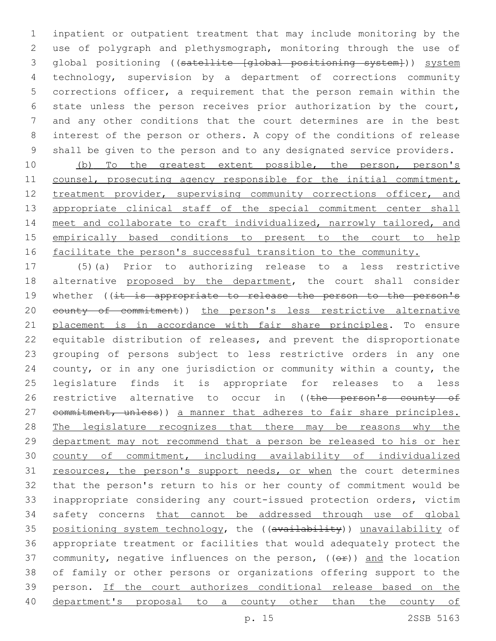inpatient or outpatient treatment that may include monitoring by the use of polygraph and plethysmograph, monitoring through the use of global positioning ((satellite [global positioning system])) system technology, supervision by a department of corrections community corrections officer, a requirement that the person remain within the state unless the person receives prior authorization by the court, and any other conditions that the court determines are in the best interest of the person or others. A copy of the conditions of release shall be given to the person and to any designated service providers.

 (b) To the greatest extent possible, the person, person's 11 counsel, prosecuting agency responsible for the initial commitment, 12 treatment provider, supervising community corrections officer, and 13 appropriate clinical staff of the special commitment center shall 14 meet and collaborate to craft individualized, narrowly tailored, and empirically based conditions to present to the court to help 16 facilitate the person's successful transition to the community.

 (5)(a) Prior to authorizing release to a less restrictive 18 alternative proposed by the department, the court shall consider 19 whether ((it is appropriate to release the person to the person's 20 eounty of commitment)) the person's less restrictive alternative placement is in accordance with fair share principles. To ensure equitable distribution of releases, and prevent the disproportionate grouping of persons subject to less restrictive orders in any one county, or in any one jurisdiction or community within a county, the legislature finds it is appropriate for releases to a less 26 restrictive alternative to occur in ((the person's county of 27 commitment, unless)) a manner that adheres to fair share principles. 28 The legislature recognizes that there may be reasons why the department may not recommend that a person be released to his or her county of commitment, including availability of individualized 31 resources, the person's support needs, or when the court determines that the person's return to his or her county of commitment would be inappropriate considering any court-issued protection orders, victim safety concerns that cannot be addressed through use of global 35 positioning system technology, the ((availability)) unavailability of appropriate treatment or facilities that would adequately protect the 37 community, negative influences on the person,  $($   $($  $\Theta$  $f$  $)$ ) and the location of family or other persons or organizations offering support to the person. If the court authorizes conditional release based on the department's proposal to a county other than the county of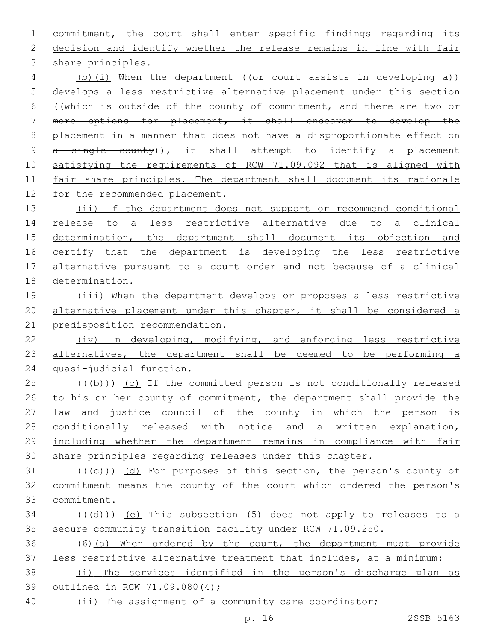commitment, the court shall enter specific findings regarding its decision and identify whether the release remains in line with fair 3 share principles. 4 (b)(i) When the department ((or court assists in developing a)) develops a less restrictive alternative placement under this section ((which is outside of the county of commitment, and there are two or more options for placement, it shall endeavor to develop the placement in a manner that does not have a disproportionate effect on 9 a single county)), it shall attempt to identify a placement satisfying the requirements of RCW 71.09.092 that is aligned with 11 fair share principles. The department shall document its rationale 12 for the recommended placement. 13 (ii) If the department does not support or recommend conditional release to a less restrictive alternative due to a clinical 15 determination, the department shall document its objection and 16 certify that the department is developing the less restrictive alternative pursuant to a court order and not because of a clinical determination. (iii) When the department develops or proposes a less restrictive alternative placement under this chapter, it shall be considered a predisposition recommendation. (iv) In developing, modifying, and enforcing less restrictive 23 alternatives, the department shall be deemed to be performing a 24 quasi-judicial function.  $(1 + b)$ ) (c) If the committed person is not conditionally released 26 to his or her county of commitment, the department shall provide the law and justice council of the county in which the person is 28 conditionally released with notice and a written explanation, including whether the department remains in compliance with fair share principles regarding releases under this chapter. 31  $((+e))$   $(d)$  For purposes of this section, the person's county of commitment means the county of the court which ordered the person's

commitment.33

 (( $\left(\frac{1}{4}+\right)$ ) (e) This subsection (5) does not apply to releases to a secure community transition facility under RCW 71.09.250.

 (6)(a) When ordered by the court, the department must provide less restrictive alternative treatment that includes, at a minimum:

 (i) The services identified in the person's discharge plan as outlined in RCW 71.09.080(4);

(ii) The assignment of a community care coordinator;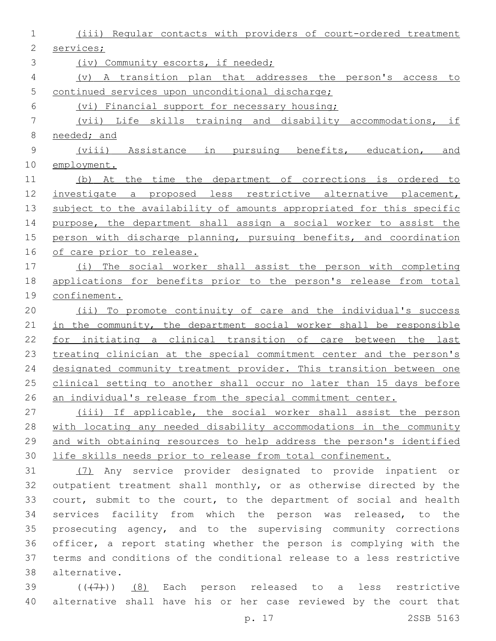| 1            | (iii) Reqular contacts with providers of court-ordered treatment      |
|--------------|-----------------------------------------------------------------------|
| $\mathbf{2}$ | services;                                                             |
| 3            | (iv) Community escorts, if needed;                                    |
| 4            | A transition plan that addresses the person's access to<br>$(\nabla)$ |
| 5            | continued services upon unconditional discharge;                      |
| 6            | (vi) Financial support for necessary housing;                         |
| 7            | (vii) Life skills training and disability accommodations,<br>if       |
| 8            | needed; and                                                           |
| $\mathsf 9$  | pursuing benefits, education,<br>(viii) Assistance in<br>and          |
| 10           | employment.                                                           |
| 11           | (b) At the time the department of corrections is ordered to           |
| 12           | investigate a proposed less restrictive alternative placement,        |
| 13           | subject to the availability of amounts appropriated for this specific |
| 14           | purpose, the department shall assign a social worker to assist the    |
| 15           | person with discharge planning, pursuing benefits, and coordination   |
| 16           | of care prior to release.                                             |
| 17           | (i) The social worker shall assist the person with completing         |
| 18           | applications for benefits prior to the person's release from total    |
| 19           | confinement.                                                          |
| 20           | (ii) To promote continuity of care and the individual's success       |
| 21           | in the community, the department social worker shall be responsible   |
| 22           | for initiating a clinical transition of care between the last         |
| 23           | treating clinician at the special commitment center and the person's  |
| 24           | designated community treatment provider. This transition between one  |
| 25           | clinical setting to another shall occur no later than 15 days before  |
| 26           | an individual's release from the special commitment center.           |
| 27           | (iii) If applicable, the social worker shall assist the person        |
| 28           | with locating any needed disability accommodations in the community   |
| 29           | and with obtaining resources to help address the person's identified  |
| 30           | life skills needs prior to release from total confinement.            |
| 31           | (7) Any service provider designated to provide inpatient or           |
| 32           | outpatient treatment shall monthly, or as otherwise directed by the   |
| 33           | court, submit to the court, to the department of social and health    |
| 34           | services facility from which the person was released, to the          |
| 35           | prosecuting agency, and to the supervising community corrections      |
| 36           | officer, a report stating whether the person is complying with the    |
| 37           | terms and conditions of the conditional release to a less restrictive |

alternative.38

39 (((7)) (8) Each person released to a less restrictive alternative shall have his or her case reviewed by the court that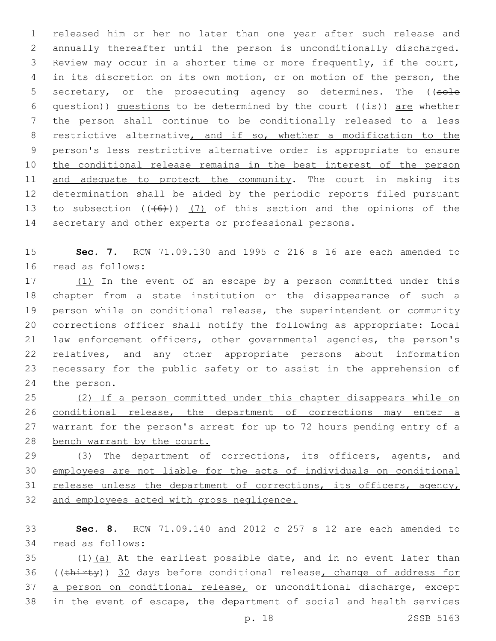released him or her no later than one year after such release and annually thereafter until the person is unconditionally discharged. Review may occur in a shorter time or more frequently, if the court, in its discretion on its own motion, or on motion of the person, the 5 secretary, or the prosecuting agency so determines. The ((sole  $q$ uestion)) questions to be determined by the court ((is)) are whether the person shall continue to be conditionally released to a less 8 restrictive alternative, and if so, whether a modification to the person's less restrictive alternative order is appropriate to ensure 10 the conditional release remains in the best interest of the person 11 and adequate to protect the community. The court in making its determination shall be aided by the periodic reports filed pursuant 13 to subsection  $((+6))$   $(7)$  of this section and the opinions of the secretary and other experts or professional persons.

15 **Sec. 7.** RCW 71.09.130 and 1995 c 216 s 16 are each amended to 16 read as follows:

17 (1) In the event of an escape by a person committed under this chapter from a state institution or the disappearance of such a person while on conditional release, the superintendent or community corrections officer shall notify the following as appropriate: Local law enforcement officers, other governmental agencies, the person's relatives, and any other appropriate persons about information necessary for the public safety or to assist in the apprehension of 24 the person.

 (2) If a person committed under this chapter disappears while on conditional release, the department of corrections may enter a 27 warrant for the person's arrest for up to 72 hours pending entry of a bench warrant by the court.

29 (3) The department of corrections, its officers, agents, and 30 employees are not liable for the acts of individuals on conditional 31 release unless the department of corrections, its officers, agency, 32 and employees acted with gross negligence.

33 **Sec. 8.** RCW 71.09.140 and 2012 c 257 s 12 are each amended to 34 read as follows:

 $35$  (1)(a) At the earliest possible date, and in no event later than 36 ((thirty)) 30 days before conditional release, change of address for 37 a person on conditional release, or unconditional discharge, except 38 in the event of escape, the department of social and health services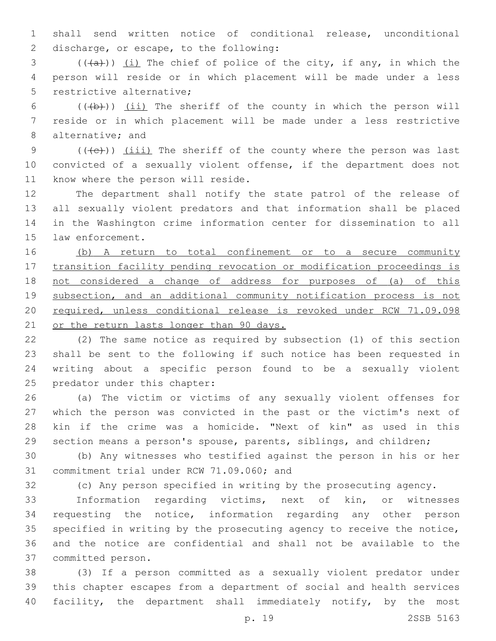shall send written notice of conditional release, unconditional 2 discharge, or escape, to the following:

 (( $(a+)$ )) <u>(i)</u> The chief of police of the city, if any, in which the person will reside or in which placement will be made under a less 5 restrictive alternative:

6  $((+b))$   $(ii)$  The sheriff of the county in which the person will reside or in which placement will be made under a less restrictive 8 alternative; and

9  $((+e))$  (iii) The sheriff of the county where the person was last convicted of a sexually violent offense, if the department does not 11 know where the person will reside.

 The department shall notify the state patrol of the release of all sexually violent predators and that information shall be placed in the Washington crime information center for dissemination to all 15 law enforcement.

 (b) A return to total confinement or to a secure community transition facility pending revocation or modification proceedings is not considered a change of address for purposes of (a) of this subsection, and an additional community notification process is not required, unless conditional release is revoked under RCW 71.09.098 21 or the return lasts longer than 90 days.

 (2) The same notice as required by subsection (1) of this section shall be sent to the following if such notice has been requested in writing about a specific person found to be a sexually violent 25 predator under this chapter:

 (a) The victim or victims of any sexually violent offenses for which the person was convicted in the past or the victim's next of kin if the crime was a homicide. "Next of kin" as used in this section means a person's spouse, parents, siblings, and children;

 (b) Any witnesses who testified against the person in his or her 31 commitment trial under RCW 71.09.060; and

(c) Any person specified in writing by the prosecuting agency.

 Information regarding victims, next of kin, or witnesses requesting the notice, information regarding any other person specified in writing by the prosecuting agency to receive the notice, and the notice are confidential and shall not be available to the 37 committed person.

 (3) If a person committed as a sexually violent predator under this chapter escapes from a department of social and health services facility, the department shall immediately notify, by the most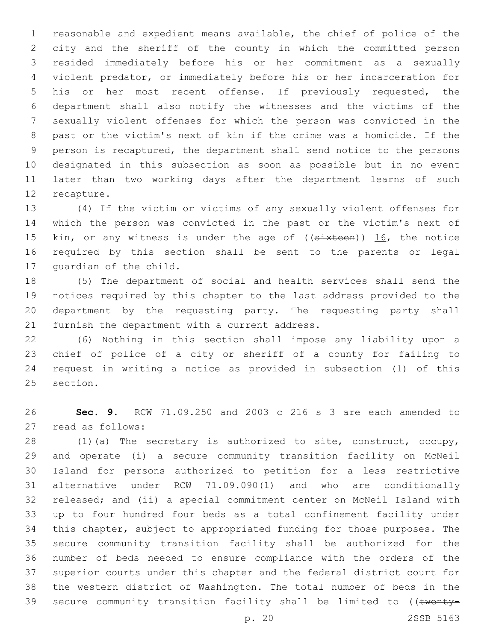reasonable and expedient means available, the chief of police of the city and the sheriff of the county in which the committed person resided immediately before his or her commitment as a sexually violent predator, or immediately before his or her incarceration for his or her most recent offense. If previously requested, the department shall also notify the witnesses and the victims of the sexually violent offenses for which the person was convicted in the past or the victim's next of kin if the crime was a homicide. If the person is recaptured, the department shall send notice to the persons designated in this subsection as soon as possible but in no event later than two working days after the department learns of such 12 recapture.

 (4) If the victim or victims of any sexually violent offenses for which the person was convicted in the past or the victim's next of 15 kin, or any witness is under the age of ((sixteen)) 16, the notice required by this section shall be sent to the parents or legal 17 quardian of the child.

 (5) The department of social and health services shall send the notices required by this chapter to the last address provided to the department by the requesting party. The requesting party shall 21 furnish the department with a current address.

 (6) Nothing in this section shall impose any liability upon a chief of police of a city or sheriff of a county for failing to request in writing a notice as provided in subsection (1) of this 25 section.

 **Sec. 9.** RCW 71.09.250 and 2003 c 216 s 3 are each amended to 27 read as follows:

 (1)(a) The secretary is authorized to site, construct, occupy, and operate (i) a secure community transition facility on McNeil Island for persons authorized to petition for a less restrictive alternative under RCW 71.09.090(1) and who are conditionally released; and (ii) a special commitment center on McNeil Island with up to four hundred four beds as a total confinement facility under this chapter, subject to appropriated funding for those purposes. The secure community transition facility shall be authorized for the number of beds needed to ensure compliance with the orders of the superior courts under this chapter and the federal district court for the western district of Washington. The total number of beds in the 39 secure community transition facility shall be limited to ((twenty-

p. 20 2SSB 5163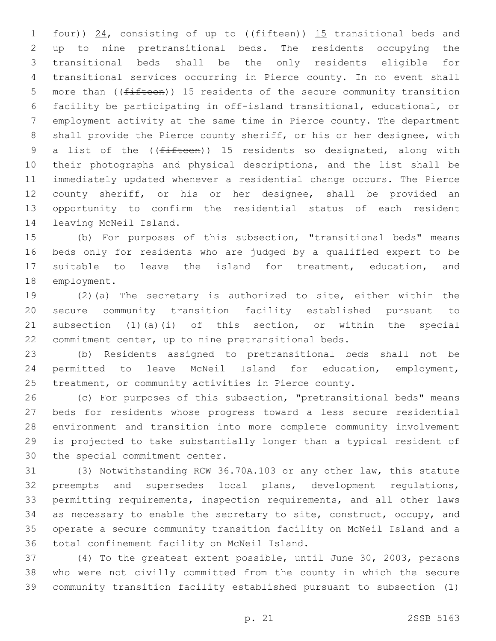1 four)) 24, consisting of up to ((fifteen)) 15 transitional beds and up to nine pretransitional beds. The residents occupying the transitional beds shall be the only residents eligible for transitional services occurring in Pierce county. In no event shall 5 more than ( $(f$ ifteen)) 15 residents of the secure community transition facility be participating in off-island transitional, educational, or employment activity at the same time in Pierce county. The department shall provide the Pierce county sheriff, or his or her designee, with 9 a list of the  $($ ( $f$ ifteen)) 15 residents so designated, along with their photographs and physical descriptions, and the list shall be immediately updated whenever a residential change occurs. The Pierce county sheriff, or his or her designee, shall be provided an opportunity to confirm the residential status of each resident 14 leaving McNeil Island.

 (b) For purposes of this subsection, "transitional beds" means beds only for residents who are judged by a qualified expert to be suitable to leave the island for treatment, education, and 18 employment.

 (2)(a) The secretary is authorized to site, either within the secure community transition facility established pursuant to subsection (1)(a)(i) of this section, or within the special commitment center, up to nine pretransitional beds.

 (b) Residents assigned to pretransitional beds shall not be permitted to leave McNeil Island for education, employment, treatment, or community activities in Pierce county.

 (c) For purposes of this subsection, "pretransitional beds" means beds for residents whose progress toward a less secure residential environment and transition into more complete community involvement is projected to take substantially longer than a typical resident of 30 the special commitment center.

 (3) Notwithstanding RCW 36.70A.103 or any other law, this statute preempts and supersedes local plans, development regulations, permitting requirements, inspection requirements, and all other laws as necessary to enable the secretary to site, construct, occupy, and operate a secure community transition facility on McNeil Island and a 36 total confinement facility on McNeil Island.

 (4) To the greatest extent possible, until June 30, 2003, persons who were not civilly committed from the county in which the secure community transition facility established pursuant to subsection (1)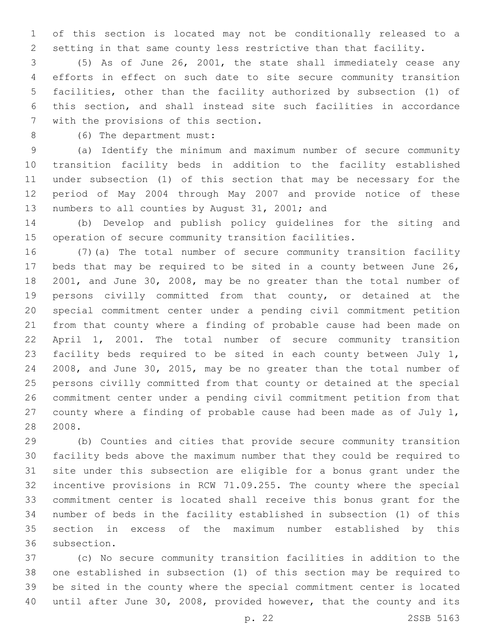of this section is located may not be conditionally released to a setting in that same county less restrictive than that facility.

 (5) As of June 26, 2001, the state shall immediately cease any efforts in effect on such date to site secure community transition facilities, other than the facility authorized by subsection (1) of this section, and shall instead site such facilities in accordance 7 with the provisions of this section.

8 (6) The department must:

 (a) Identify the minimum and maximum number of secure community transition facility beds in addition to the facility established under subsection (1) of this section that may be necessary for the period of May 2004 through May 2007 and provide notice of these 13 numbers to all counties by August 31, 2001; and

 (b) Develop and publish policy guidelines for the siting and operation of secure community transition facilities.

 (7)(a) The total number of secure community transition facility beds that may be required to be sited in a county between June 26, 2001, and June 30, 2008, may be no greater than the total number of persons civilly committed from that county, or detained at the special commitment center under a pending civil commitment petition from that county where a finding of probable cause had been made on April 1, 2001. The total number of secure community transition facility beds required to be sited in each county between July 1, 2008, and June 30, 2015, may be no greater than the total number of persons civilly committed from that county or detained at the special commitment center under a pending civil commitment petition from that county where a finding of probable cause had been made as of July 1, 2008.

 (b) Counties and cities that provide secure community transition facility beds above the maximum number that they could be required to site under this subsection are eligible for a bonus grant under the incentive provisions in RCW 71.09.255. The county where the special commitment center is located shall receive this bonus grant for the number of beds in the facility established in subsection (1) of this section in excess of the maximum number established by this 36 subsection.

 (c) No secure community transition facilities in addition to the one established in subsection (1) of this section may be required to be sited in the county where the special commitment center is located until after June 30, 2008, provided however, that the county and its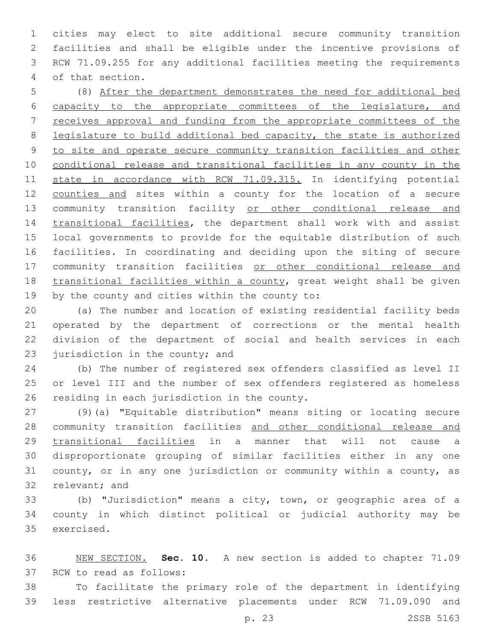cities may elect to site additional secure community transition facilities and shall be eligible under the incentive provisions of RCW 71.09.255 for any additional facilities meeting the requirements 4 of that section.

 (8) After the department demonstrates the need for additional bed capacity to the appropriate committees of the legislature, and receives approval and funding from the appropriate committees of the legislature to build additional bed capacity, the state is authorized to site and operate secure community transition facilities and other 10 conditional release and transitional facilities in any county in the state in accordance with RCW 71.09.315. In identifying potential counties and sites within a county for the location of a secure community transition facility or other conditional release and 14 transitional facilities, the department shall work with and assist local governments to provide for the equitable distribution of such facilities. In coordinating and deciding upon the siting of secure community transition facilities or other conditional release and transitional facilities within a county, great weight shall be given 19 by the county and cities within the county to:

 (a) The number and location of existing residential facility beds operated by the department of corrections or the mental health division of the department of social and health services in each 23 jurisdiction in the county; and

 (b) The number of registered sex offenders classified as level II or level III and the number of sex offenders registered as homeless 26 residing in each jurisdiction in the county.

 (9)(a) "Equitable distribution" means siting or locating secure 28 community transition facilities and other conditional release and transitional facilities in a manner that will not cause a disproportionate grouping of similar facilities either in any one county, or in any one jurisdiction or community within a county, as 32 relevant; and

 (b) "Jurisdiction" means a city, town, or geographic area of a county in which distinct political or judicial authority may be 35 exercised.

 NEW SECTION. **Sec. 10.** A new section is added to chapter 71.09 37 RCW to read as follows:

 To facilitate the primary role of the department in identifying less restrictive alternative placements under RCW 71.09.090 and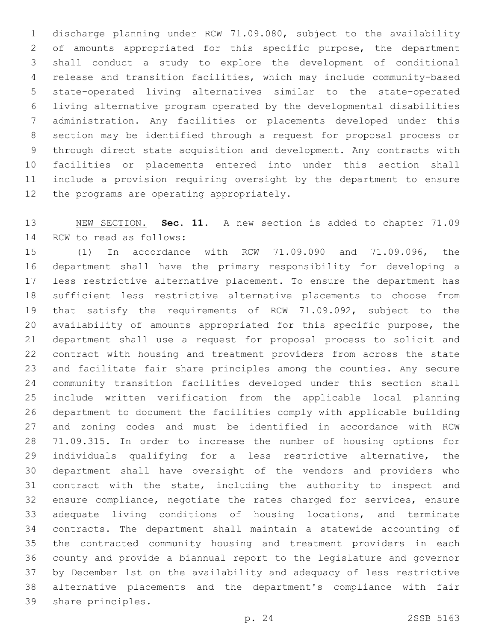discharge planning under RCW 71.09.080, subject to the availability of amounts appropriated for this specific purpose, the department shall conduct a study to explore the development of conditional release and transition facilities, which may include community-based state-operated living alternatives similar to the state-operated living alternative program operated by the developmental disabilities administration. Any facilities or placements developed under this section may be identified through a request for proposal process or through direct state acquisition and development. Any contracts with facilities or placements entered into under this section shall include a provision requiring oversight by the department to ensure 12 the programs are operating appropriately.

 NEW SECTION. **Sec. 11.** A new section is added to chapter 71.09 14 RCW to read as follows:

 (1) In accordance with RCW 71.09.090 and 71.09.096, the department shall have the primary responsibility for developing a less restrictive alternative placement. To ensure the department has sufficient less restrictive alternative placements to choose from that satisfy the requirements of RCW 71.09.092, subject to the availability of amounts appropriated for this specific purpose, the department shall use a request for proposal process to solicit and contract with housing and treatment providers from across the state and facilitate fair share principles among the counties. Any secure community transition facilities developed under this section shall include written verification from the applicable local planning department to document the facilities comply with applicable building and zoning codes and must be identified in accordance with RCW 71.09.315. In order to increase the number of housing options for individuals qualifying for a less restrictive alternative, the department shall have oversight of the vendors and providers who contract with the state, including the authority to inspect and ensure compliance, negotiate the rates charged for services, ensure adequate living conditions of housing locations, and terminate contracts. The department shall maintain a statewide accounting of the contracted community housing and treatment providers in each county and provide a biannual report to the legislature and governor by December 1st on the availability and adequacy of less restrictive alternative placements and the department's compliance with fair 39 share principles.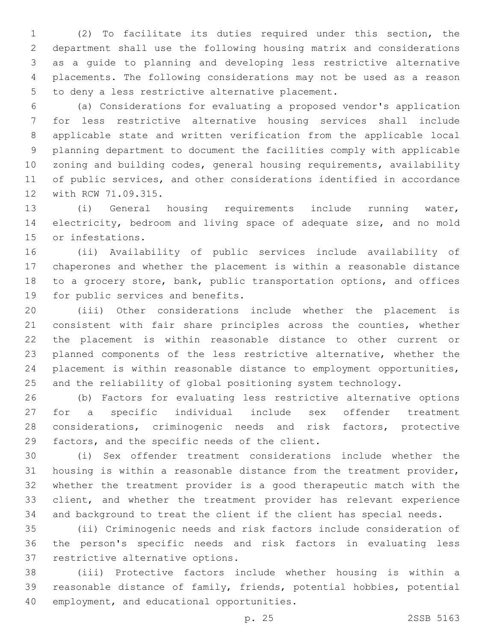(2) To facilitate its duties required under this section, the department shall use the following housing matrix and considerations as a guide to planning and developing less restrictive alternative placements. The following considerations may not be used as a reason 5 to deny a less restrictive alternative placement.

 (a) Considerations for evaluating a proposed vendor's application for less restrictive alternative housing services shall include applicable state and written verification from the applicable local planning department to document the facilities comply with applicable zoning and building codes, general housing requirements, availability of public services, and other considerations identified in accordance 12 with RCW 71.09.315.

 (i) General housing requirements include running water, electricity, bedroom and living space of adequate size, and no mold 15 or infestations.

 (ii) Availability of public services include availability of chaperones and whether the placement is within a reasonable distance to a grocery store, bank, public transportation options, and offices 19 for public services and benefits.

 (iii) Other considerations include whether the placement is consistent with fair share principles across the counties, whether the placement is within reasonable distance to other current or planned components of the less restrictive alternative, whether the placement is within reasonable distance to employment opportunities, and the reliability of global positioning system technology.

 (b) Factors for evaluating less restrictive alternative options for a specific individual include sex offender treatment considerations, criminogenic needs and risk factors, protective 29 factors, and the specific needs of the client.

 (i) Sex offender treatment considerations include whether the housing is within a reasonable distance from the treatment provider, whether the treatment provider is a good therapeutic match with the client, and whether the treatment provider has relevant experience and background to treat the client if the client has special needs.

 (ii) Criminogenic needs and risk factors include consideration of the person's specific needs and risk factors in evaluating less 37 restrictive alternative options.

 (iii) Protective factors include whether housing is within a reasonable distance of family, friends, potential hobbies, potential 40 employment, and educational opportunities.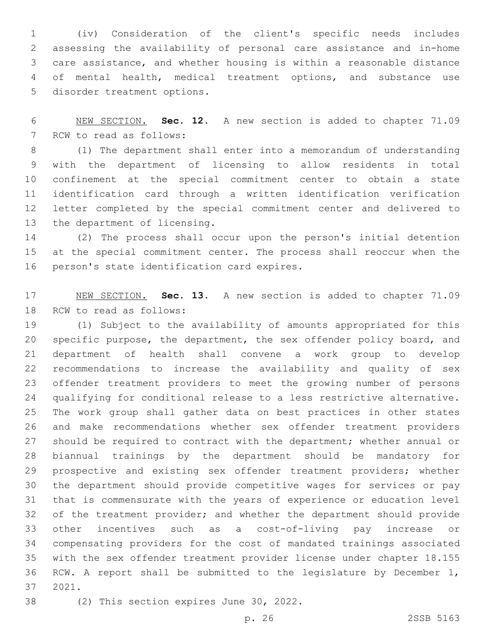(iv) Consideration of the client's specific needs includes assessing the availability of personal care assistance and in-home care assistance, and whether housing is within a reasonable distance of mental health, medical treatment options, and substance use 5 disorder treatment options.

 NEW SECTION. **Sec. 12.** A new section is added to chapter 71.09 7 RCW to read as follows:

 (1) The department shall enter into a memorandum of understanding with the department of licensing to allow residents in total confinement at the special commitment center to obtain a state identification card through a written identification verification letter completed by the special commitment center and delivered to 13 the department of licensing.

 (2) The process shall occur upon the person's initial detention at the special commitment center. The process shall reoccur when the 16 person's state identification card expires.

 NEW SECTION. **Sec. 13.** A new section is added to chapter 71.09 18 RCW to read as follows:

 (1) Subject to the availability of amounts appropriated for this specific purpose, the department, the sex offender policy board, and department of health shall convene a work group to develop recommendations to increase the availability and quality of sex offender treatment providers to meet the growing number of persons qualifying for conditional release to a less restrictive alternative. The work group shall gather data on best practices in other states and make recommendations whether sex offender treatment providers should be required to contract with the department; whether annual or biannual trainings by the department should be mandatory for prospective and existing sex offender treatment providers; whether the department should provide competitive wages for services or pay that is commensurate with the years of experience or education level of the treatment provider; and whether the department should provide other incentives such as a cost-of-living pay increase or compensating providers for the cost of mandated trainings associated with the sex offender treatment provider license under chapter 18.155 RCW. A report shall be submitted to the legislature by December 1, 2021.37

38 (2) This section expires June 30, 2022.